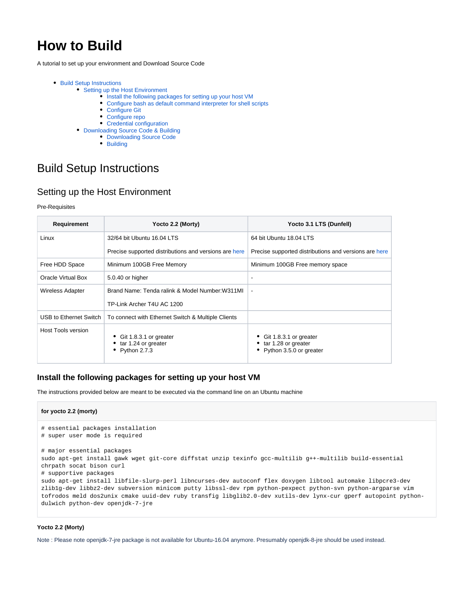# **How to Build**

A tutorial to set up your environment and Download Source Code

- [Build Setup Instructions](#page-0-0)
	- [Setting up the Host Environment](#page-0-1)
		- [Install the following packages for setting up your host VM](#page-0-2)
		- [Configure bash as default command interpreter for shell scripts](#page-1-0)
		- [Configure Git](#page-1-1)
		- [Configure repo](#page-1-2)
		- [Credential configuration](#page-2-0)
	- [Downloading Source Code & Building](#page-2-1)
		- [Downloading Source Code](#page-2-2)
			- [Building](#page-2-3)

## <span id="page-0-0"></span>Build Setup Instructions

## <span id="page-0-1"></span>Setting up the Host Environment

#### Pre-Requisites

| Requirement            | Yocto 2.2 (Morty)                                                     | Yocto 3.1 LTS (Dunfell)                                                      |
|------------------------|-----------------------------------------------------------------------|------------------------------------------------------------------------------|
| Linux                  | 32/64 bit Ubuntu 16.04 LTS                                            | 64 bit Ubuntu 18.04 LTS                                                      |
|                        | Precise supported distributions and versions are here                 | Precise supported distributions and versions are here                        |
| Free HDD Space         | Minimum 100GB Free Memory                                             | Minimum 100GB Free memory space                                              |
| Oracle Virtual Box     | 5.0.40 or higher                                                      | ٠                                                                            |
| Wireless Adapter       | Brand Name: Tenda ralink & Model Number: W311ML                       | $\overline{\phantom{a}}$                                                     |
|                        | TP-Link Archer T4U AC 1200                                            |                                                                              |
| USB to Ethernet Switch | To connect with Ethernet Switch & Multiple Clients                    |                                                                              |
| Host Tools version     | • Git 1.8.3.1 or greater<br>• tar 1.24 or greater<br>• Python $2.7.3$ | • Git 1.8.3.1 or greater<br>• tar 1.28 or greater<br>Python 3.5.0 or greater |

## <span id="page-0-2"></span>**Install the following packages for setting up your host VM**

The instructions provided below are meant to be executed via the command line on an Ubuntu machine

#### **for yocto 2.2 (morty)**

```
# essential packages installation
# super user mode is required
# major essential packages
sudo apt-get install gawk wget git-core diffstat unzip texinfo gcc-multilib g++-multilib build-essential 
chrpath socat bison curl
# supportive packages
sudo apt-get install libfile-slurp-perl libncurses-dev autoconf flex doxygen libtool automake libpcre3-dev 
zlib1g-dev libbz2-dev subversion minicom putty libssl-dev rpm python-pexpect python-svn python-argparse vim 
tofrodos meld dos2unix cmake uuid-dev ruby transfig libglib2.0-dev xutils-dev lynx-cur gperf autopoint python-
dulwich python-dev openjdk-7-jre
```
#### **Yocto 2.2 (Morty)**

Note : Please note openjdk-7-jre package is not available for Ubuntu-16.04 anymore. Presumably openjdk-8-jre should be used instead.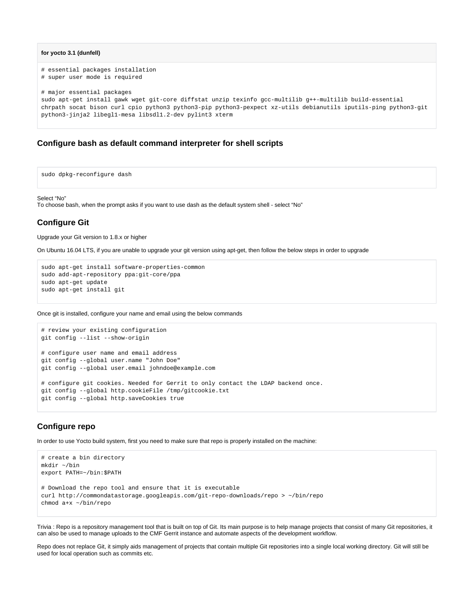```
for yocto 3.1 (dunfell)
```

```
# essential packages installation
# super user mode is required
# major essential packages
sudo apt-get install gawk wget git-core diffstat unzip texinfo gcc-multilib g++-multilib build-essential
chrpath socat bison curl cpio python3 python3-pip python3-pexpect xz-utils debianutils iputils-ping python3-git 
python3-jinja2 libegl1-mesa libsdl1.2-dev pylint3 xterm
```
## <span id="page-1-0"></span>**Configure bash as default command interpreter for shell scripts**

sudo dpkg-reconfigure dash

#### Select "No"

To choose bash, when the prompt asks if you want to use dash as the default system shell - select "No"

## <span id="page-1-1"></span>**Configure Git**

Upgrade your Git version to 1.8.x or higher

On Ubuntu 16.04 LTS, if you are unable to upgrade your git version using apt-get, then follow the below steps in order to upgrade

```
sudo apt-get install software-properties-common
sudo add-apt-repository ppa:git-core/ppa
sudo apt-get update
sudo apt-get install git
```
Once git is installed, configure your name and email using the below commands

```
# review your existing configuration
git config --list --show-origin
# configure user name and email address
git config --global user.name "John Doe"
git config --global user.email johndoe@example.com
# configure git cookies. Needed for Gerrit to only contact the LDAP backend once.
git config --global http.cookieFile /tmp/gitcookie.txt
git config --global http.saveCookies true
```
## <span id="page-1-2"></span>**Configure repo**

In order to use Yocto build system, first you need to make sure that repo is properly installed on the machine:

```
# create a bin directory
mkdir ~/bin
export PATH=~/bin:$PATH
# Download the repo tool and ensure that it is executable
curl http://commondatastorage.googleapis.com/git-repo-downloads/repo > ~/bin/repo
chmod a+x ~/bin/repo
```
Trivia : Repo is a repository management tool that is built on top of Git. Its main purpose is to help manage projects that consist of many Git repositories, it can also be used to manage uploads to the CMF Gerrit instance and automate aspects of the development workflow.

Repo does not replace Git, it simply aids management of projects that contain multiple Git repositories into a single local working directory. Git will still be used for local operation such as commits etc.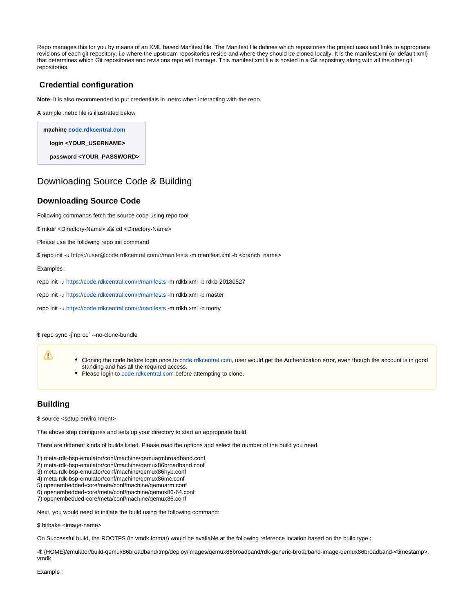Repo manages this for you by means of an XML based Manifest file. The Manifest file defines which repositories the project uses and links to appropriate revisions of each git repository, i.e where the upstream repositories reside and where they should be cloned locally. It is the manifest.xml (or default.xml) that determines which Git repositories and revisions repo will manage. This manifest.xml file is hosted in a Git repository along with all the other git repositories.

## <span id="page-2-0"></span>**Credential configuration**

**Note:** it is also recommended to put credentials in .netrc when interacting with the repo.

A sample .netrc file is illustrated below

**machine [code.rdkcentral.com](http://code.rdkcentral.com/) login <YOUR\_USERNAME> password <YOUR\_PASSWORD>**

## <span id="page-2-1"></span>Downloading Source Code & Building

### <span id="page-2-2"></span>**Downloading Source Code**

Following commands fetch the source code using repo tool

\$ mkdir <Directory-Name> && cd <Directory-Name>

Please use the following repo init command

\$ repo init -u https://user@code.rdkcentral.com/r/manifests -m manifest.xml -b <branch\_name>

Examples :

repo init -u <https://code.rdkcentral.com/r/manifests> -m rdkb.xml -b rdkb-20180527

repo init -u <https://code.rdkcentral.com/r/manifests> -m rdkb.xml -b master

repo init -u <https://code.rdkcentral.com/r/manifests> -m rdkb.xml -b morty

\$ repo sync -j`nproc` --no-clone-bundle

- Cloning the code before login once to [code.rdkcentral.com,](https://slack-redir.net/link?url=http%3A%2F%2Fcode.rdkcentral.com) user would get the Authentication error, even though the account is in good standing and has all the required access.
- Please login to [code.rdkcentral.com](https://slack-redir.net/link?url=http%3A%2F%2Fcode.rdkcentral.com) before attempting to clone.

### <span id="page-2-3"></span>**Building**

Δ

\$ source <setup-environment>

The above step configures and sets up your directory to start an appropriate build.

There are different kinds of builds listed. Please read the options and select the number of the build you need.

1) meta-rdk-bsp-emulator/conf/machine/qemuarmbroadband.conf

- 2) meta-rdk-bsp-emulator/conf/machine/qemux86broadband.conf
- 3) meta-rdk-bsp-emulator/conf/machine/qemux86hyb.conf
- 4) meta-rdk-bsp-emulator/conf/machine/qemux86mc.conf
- 5) openembedded-core/meta/conf/machine/qemuarm.conf
- 6) openembedded-core/meta/conf/machine/qemux86-64.conf 7) openembedded-core/meta/conf/machine/qemux86.conf

Next, you would need to initiate the build using the following command:

\$ bitbake <image-name>

On Successful build, the ROOTFS (in vmdk format) would be available at the following reference location based on the build type :

-\$ {HOME}/emulator/build-qemux86broadband/tmp/deploy/images/qemux86broadband/rdk-generic-broadband-image-qemux86broadband-<timestamp>. vmdk

Example :